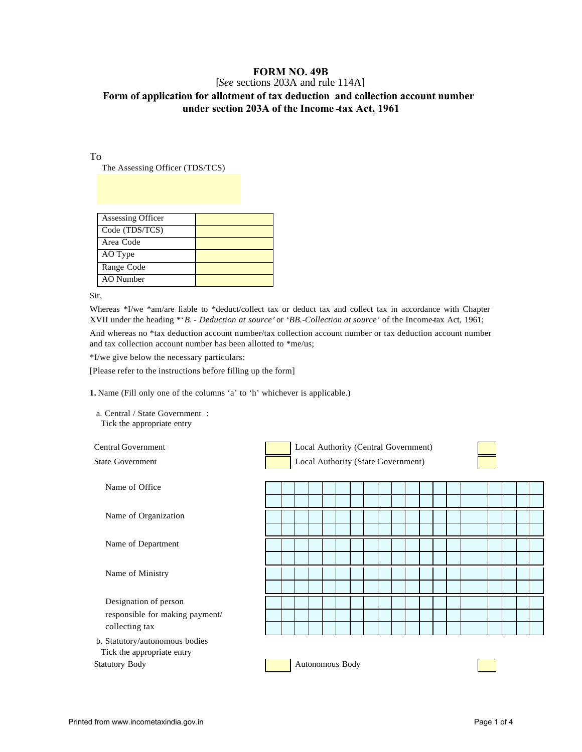## **FORM NO. 49B**

## [*See* sections 203A and rule 114A] **Form of application for allotment of tax deduction and collection account number under section 203A of the Income -tax Act, 1961**

To

The Assessing Officer (TDS/TCS)

| Assessing Officer |  |
|-------------------|--|
| Code (TDS/TCS)    |  |
| Area Code         |  |
| AO Type           |  |
| Range Code        |  |
| AO Number         |  |

Sir,

Whereas \*I/we \*am/are liable to \*deduct/collect tax or deduct tax and collect tax in accordance with Chapter XVII under the heading \*'*B. - Deduction at source'* or '*BB.-Collection at source'* of the Income-tax Act, 1961;

And whereas no \*tax deduction account number/tax collection account number or tax deduction account number and tax collection account number has been allotted to \*me/us;

\*I/we give below the necessary particulars:

[Please refer to the instructions before filling up the form]

**1.** Name (Fill only one of the columns 'a' to 'h' whichever is applicable.)

a. Central / State Government : Tick the appropriate entry

Central Government Local Authority (Central Government) State Government **Local Authority (State Government)** 



Statutory Body **Autonomous Body** 

Name of Office

Name of Organization

Name of Department

Name of Ministry

Designation of person responsible for making payment/ collecting tax

b. Statutory/autonomous bodies Tick the appropriate entry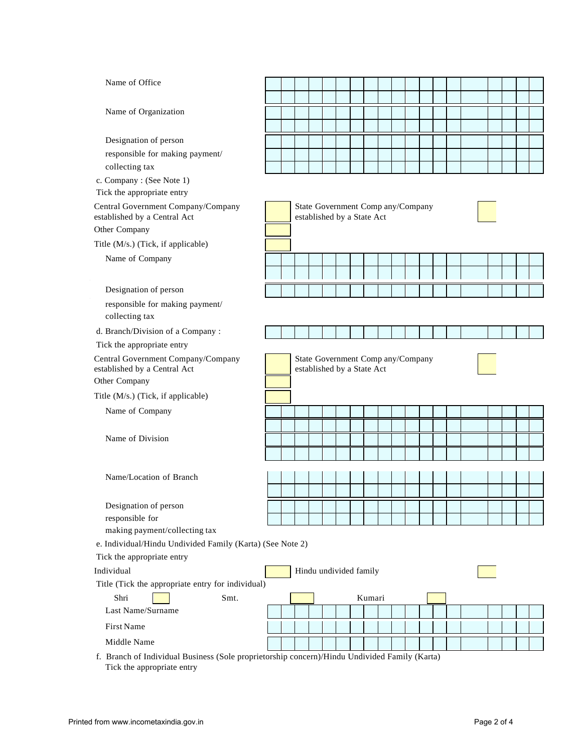| Name of Office                                                                                |                                                                 |                                                                 |  |  |  |  |                        |  |  |  |  |  |  |  |  |  |  |
|-----------------------------------------------------------------------------------------------|-----------------------------------------------------------------|-----------------------------------------------------------------|--|--|--|--|------------------------|--|--|--|--|--|--|--|--|--|--|
|                                                                                               |                                                                 |                                                                 |  |  |  |  |                        |  |  |  |  |  |  |  |  |  |  |
| Name of Organization                                                                          |                                                                 |                                                                 |  |  |  |  |                        |  |  |  |  |  |  |  |  |  |  |
|                                                                                               |                                                                 |                                                                 |  |  |  |  |                        |  |  |  |  |  |  |  |  |  |  |
| Designation of person                                                                         |                                                                 |                                                                 |  |  |  |  |                        |  |  |  |  |  |  |  |  |  |  |
| responsible for making payment/                                                               |                                                                 |                                                                 |  |  |  |  |                        |  |  |  |  |  |  |  |  |  |  |
| collecting tax                                                                                |                                                                 |                                                                 |  |  |  |  |                        |  |  |  |  |  |  |  |  |  |  |
| c. Company: (See Note 1)<br>Tick the appropriate entry                                        |                                                                 |                                                                 |  |  |  |  |                        |  |  |  |  |  |  |  |  |  |  |
| Central Government Company/Company<br>established by a Central Act<br>Other Company           | State Government Comp any/Company<br>established by a State Act |                                                                 |  |  |  |  |                        |  |  |  |  |  |  |  |  |  |  |
| Title (M/s.) (Tick, if applicable)                                                            |                                                                 |                                                                 |  |  |  |  |                        |  |  |  |  |  |  |  |  |  |  |
|                                                                                               |                                                                 |                                                                 |  |  |  |  |                        |  |  |  |  |  |  |  |  |  |  |
| Name of Company                                                                               |                                                                 |                                                                 |  |  |  |  |                        |  |  |  |  |  |  |  |  |  |  |
| Designation of person                                                                         |                                                                 |                                                                 |  |  |  |  |                        |  |  |  |  |  |  |  |  |  |  |
| responsible for making payment/<br>collecting tax                                             |                                                                 |                                                                 |  |  |  |  |                        |  |  |  |  |  |  |  |  |  |  |
| d. Branch/Division of a Company:                                                              |                                                                 |                                                                 |  |  |  |  |                        |  |  |  |  |  |  |  |  |  |  |
| Tick the appropriate entry                                                                    |                                                                 |                                                                 |  |  |  |  |                        |  |  |  |  |  |  |  |  |  |  |
| Central Government Company/Company<br>established by a Central Act                            |                                                                 | State Government Comp any/Company<br>established by a State Act |  |  |  |  |                        |  |  |  |  |  |  |  |  |  |  |
| Other Company                                                                                 |                                                                 |                                                                 |  |  |  |  |                        |  |  |  |  |  |  |  |  |  |  |
| Title (M/s.) (Tick, if applicable)                                                            |                                                                 |                                                                 |  |  |  |  |                        |  |  |  |  |  |  |  |  |  |  |
| Name of Company                                                                               |                                                                 |                                                                 |  |  |  |  |                        |  |  |  |  |  |  |  |  |  |  |
|                                                                                               |                                                                 |                                                                 |  |  |  |  |                        |  |  |  |  |  |  |  |  |  |  |
| Name of Division                                                                              |                                                                 |                                                                 |  |  |  |  |                        |  |  |  |  |  |  |  |  |  |  |
|                                                                                               |                                                                 |                                                                 |  |  |  |  |                        |  |  |  |  |  |  |  |  |  |  |
| Name/Location of Branch                                                                       |                                                                 |                                                                 |  |  |  |  |                        |  |  |  |  |  |  |  |  |  |  |
|                                                                                               |                                                                 |                                                                 |  |  |  |  |                        |  |  |  |  |  |  |  |  |  |  |
|                                                                                               |                                                                 |                                                                 |  |  |  |  |                        |  |  |  |  |  |  |  |  |  |  |
| Designation of person                                                                         |                                                                 |                                                                 |  |  |  |  |                        |  |  |  |  |  |  |  |  |  |  |
| responsible for<br>making payment/collecting tax                                              |                                                                 |                                                                 |  |  |  |  |                        |  |  |  |  |  |  |  |  |  |  |
| e. Individual/Hindu Undivided Family (Karta) (See Note 2)                                     |                                                                 |                                                                 |  |  |  |  |                        |  |  |  |  |  |  |  |  |  |  |
| Tick the appropriate entry                                                                    |                                                                 |                                                                 |  |  |  |  |                        |  |  |  |  |  |  |  |  |  |  |
| Individual                                                                                    |                                                                 |                                                                 |  |  |  |  |                        |  |  |  |  |  |  |  |  |  |  |
| Title (Tick the appropriate entry for individual)                                             |                                                                 |                                                                 |  |  |  |  | Hindu undivided family |  |  |  |  |  |  |  |  |  |  |
| Shri<br>Smt.                                                                                  |                                                                 |                                                                 |  |  |  |  |                        |  |  |  |  |  |  |  |  |  |  |
| Last Name/Surname                                                                             |                                                                 |                                                                 |  |  |  |  | Kumari                 |  |  |  |  |  |  |  |  |  |  |
| First Name                                                                                    |                                                                 |                                                                 |  |  |  |  |                        |  |  |  |  |  |  |  |  |  |  |
|                                                                                               |                                                                 |                                                                 |  |  |  |  |                        |  |  |  |  |  |  |  |  |  |  |
| Middle Name                                                                                   |                                                                 |                                                                 |  |  |  |  |                        |  |  |  |  |  |  |  |  |  |  |
| f. Branch of Individual Business (Sole proprietorship concern)/Hindu Undivided Family (Karta) |                                                                 |                                                                 |  |  |  |  |                        |  |  |  |  |  |  |  |  |  |  |

Tick the appropriate entry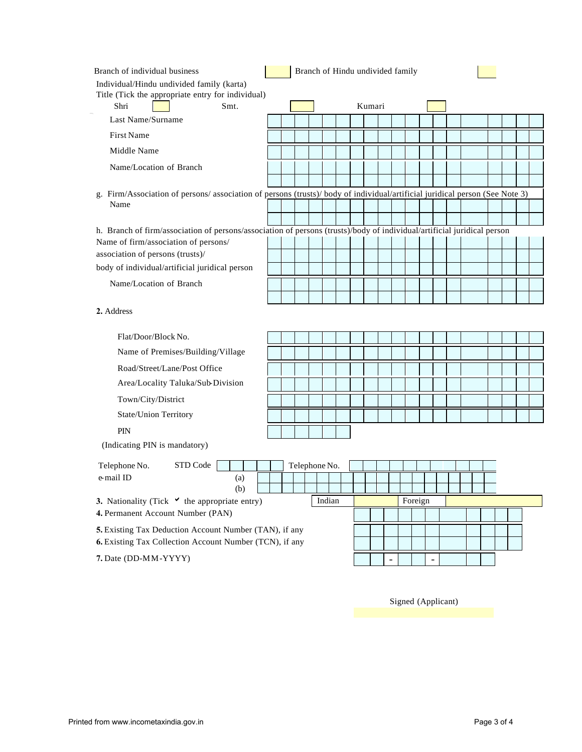| Branch of individual business                                                                                              |  |               |  |        |  |  | Branch of Hindu undivided family |        |         |  |  |  |  |  |  |  |
|----------------------------------------------------------------------------------------------------------------------------|--|---------------|--|--------|--|--|----------------------------------|--------|---------|--|--|--|--|--|--|--|
| Individual/Hindu undivided family (karta)                                                                                  |  |               |  |        |  |  |                                  |        |         |  |  |  |  |  |  |  |
| Title (Tick the appropriate entry for individual)<br>Shri<br>Smt.                                                          |  |               |  |        |  |  |                                  | Kumari |         |  |  |  |  |  |  |  |
| Last Name/Surname                                                                                                          |  |               |  |        |  |  |                                  |        |         |  |  |  |  |  |  |  |
| <b>First Name</b>                                                                                                          |  |               |  |        |  |  |                                  |        |         |  |  |  |  |  |  |  |
| Middle Name                                                                                                                |  |               |  |        |  |  |                                  |        |         |  |  |  |  |  |  |  |
| Name/Location of Branch                                                                                                    |  |               |  |        |  |  |                                  |        |         |  |  |  |  |  |  |  |
|                                                                                                                            |  |               |  |        |  |  |                                  |        |         |  |  |  |  |  |  |  |
| g. Firm/Association of persons/association of persons (trusts)/body of individual/artificial juridical person (See Note 3) |  |               |  |        |  |  |                                  |        |         |  |  |  |  |  |  |  |
| Name                                                                                                                       |  |               |  |        |  |  |                                  |        |         |  |  |  |  |  |  |  |
| h. Branch of firm/association of persons/association of persons (trusts)/body of individual/artificial juridical person    |  |               |  |        |  |  |                                  |        |         |  |  |  |  |  |  |  |
| Name of firm/association of persons/                                                                                       |  |               |  |        |  |  |                                  |        |         |  |  |  |  |  |  |  |
| association of persons (trusts)/                                                                                           |  |               |  |        |  |  |                                  |        |         |  |  |  |  |  |  |  |
| body of individual/artificial juridical person                                                                             |  |               |  |        |  |  |                                  |        |         |  |  |  |  |  |  |  |
| Name/Location of Branch                                                                                                    |  |               |  |        |  |  |                                  |        |         |  |  |  |  |  |  |  |
|                                                                                                                            |  |               |  |        |  |  |                                  |        |         |  |  |  |  |  |  |  |
| 2. Address                                                                                                                 |  |               |  |        |  |  |                                  |        |         |  |  |  |  |  |  |  |
| Flat/Door/Block No.                                                                                                        |  |               |  |        |  |  |                                  |        |         |  |  |  |  |  |  |  |
| Name of Premises/Building/Village                                                                                          |  |               |  |        |  |  |                                  |        |         |  |  |  |  |  |  |  |
| Road/Street/Lane/Post Office                                                                                               |  |               |  |        |  |  |                                  |        |         |  |  |  |  |  |  |  |
| Area/Locality Taluka/Sub-Division                                                                                          |  |               |  |        |  |  |                                  |        |         |  |  |  |  |  |  |  |
| Town/City/District                                                                                                         |  |               |  |        |  |  |                                  |        |         |  |  |  |  |  |  |  |
| State/Union Territory                                                                                                      |  |               |  |        |  |  |                                  |        |         |  |  |  |  |  |  |  |
| PIN                                                                                                                        |  |               |  |        |  |  |                                  |        |         |  |  |  |  |  |  |  |
| (Indicating PIN is mandatory)                                                                                              |  |               |  |        |  |  |                                  |        |         |  |  |  |  |  |  |  |
| STD Code<br>Telephone No.                                                                                                  |  | Telephone No. |  |        |  |  |                                  |        |         |  |  |  |  |  |  |  |
| e-mail ID<br>(a)                                                                                                           |  |               |  |        |  |  |                                  |        |         |  |  |  |  |  |  |  |
| (b)                                                                                                                        |  |               |  |        |  |  |                                  |        |         |  |  |  |  |  |  |  |
| 3. Nationality (Tick $\checkmark$ the appropriate entry)<br>4. Permanent Account Number (PAN)                              |  |               |  | Indian |  |  |                                  |        | Foreign |  |  |  |  |  |  |  |
|                                                                                                                            |  |               |  |        |  |  |                                  |        |         |  |  |  |  |  |  |  |
| 5. Existing Tax Deduction Account Number (TAN), if any<br>6. Existing Tax Collection Account Number (TCN), if any          |  |               |  |        |  |  |                                  |        |         |  |  |  |  |  |  |  |
| 7. Date (DD-MM-YYYY)                                                                                                       |  |               |  |        |  |  |                                  |        |         |  |  |  |  |  |  |  |

Signed (Applicant)